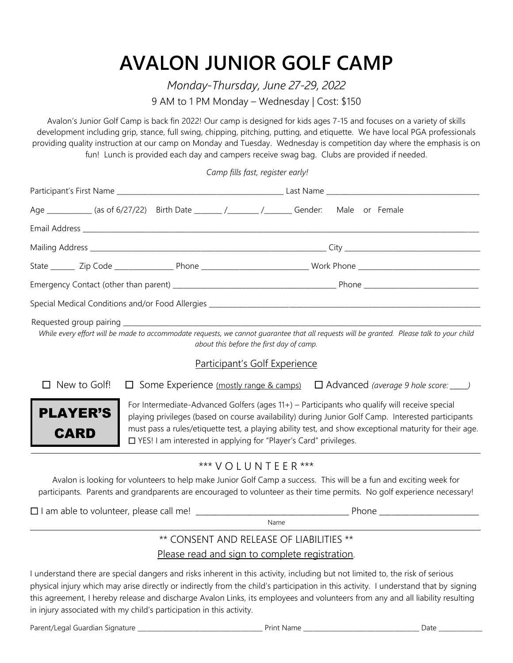## **AVALON JUNIOR GOLF CAMP**

*Monday-Thursday, June 27-29, 2022* 9 AM to 1 PM Monday – Wednesday | Cost: \$150

Avalon's Junior Golf Camp is back fin 2022! Our camp is designed for kids ages 7-15 and focuses on a variety of skills development including grip, stance, full swing, chipping, pitching, putting, and etiquette. We have local PGA professionals providing quality instruction at our camp on Monday and Tuesday. Wednesday is competition day where the emphasis is on fun! Lunch is provided each day and campers receive swag bag. Clubs are provided if needed.

*Camp fills fast, register early!*

|                                         | Age ____________ (as of 6/27/22) Birth Date _______ /_______ /_______ Gender: Male or Female                                                                                                                                                                                                                                                                                                                                                                                                                                                                                                                                                                                                                           |  |  |
|-----------------------------------------|------------------------------------------------------------------------------------------------------------------------------------------------------------------------------------------------------------------------------------------------------------------------------------------------------------------------------------------------------------------------------------------------------------------------------------------------------------------------------------------------------------------------------------------------------------------------------------------------------------------------------------------------------------------------------------------------------------------------|--|--|
|                                         |                                                                                                                                                                                                                                                                                                                                                                                                                                                                                                                                                                                                                                                                                                                        |  |  |
|                                         |                                                                                                                                                                                                                                                                                                                                                                                                                                                                                                                                                                                                                                                                                                                        |  |  |
|                                         |                                                                                                                                                                                                                                                                                                                                                                                                                                                                                                                                                                                                                                                                                                                        |  |  |
|                                         |                                                                                                                                                                                                                                                                                                                                                                                                                                                                                                                                                                                                                                                                                                                        |  |  |
|                                         |                                                                                                                                                                                                                                                                                                                                                                                                                                                                                                                                                                                                                                                                                                                        |  |  |
| New to Golf!<br><b>PLAYER'S</b><br>CARD | While every effort will be made to accommodate requests, we cannot guarantee that all requests will be granted. Please talk to your child<br>about this before the first day of camp.<br><b>Participant's Golf Experience</b><br>$\Box$ Some Experience (mostly range & camps) $\Box$ Advanced (average 9 hole score: ____)<br>For Intermediate-Advanced Golfers (ages 11+) – Participants who qualify will receive special<br>playing privileges (based on course availability) during Junior Golf Camp. Interested participants<br>must pass a rules/etiquette test, a playing ability test, and show exceptional maturity for their age.<br>$\Box$ YES! I am interested in applying for "Player's Card" privileges. |  |  |
|                                         | *** $V$ $O$ $L$ $U$ $N$ $T$ $F$ $F$ $R$ ***<br>Avalon is looking for volunteers to help make Junior Golf Camp a success. This will be a fun and exciting week for<br>participants. Parents and grandparents are encouraged to volunteer as their time permits. No golf experience necessary!<br>Name                                                                                                                                                                                                                                                                                                                                                                                                                   |  |  |
|                                         | ** CONSENT AND RELEASE OF LIABILITIES **                                                                                                                                                                                                                                                                                                                                                                                                                                                                                                                                                                                                                                                                               |  |  |

## Please read and sign to complete registration.

I understand there are special dangers and risks inherent in this activity, including but not limited to, the risk of serious physical injury which may arise directly or indirectly from the child's participation in this activity. I understand that by signing this agreement, I hereby release and discharge Avalon Links, its employees and volunteers from any and all liability resulting in injury associated with my child's participation in this activity.

Parent/Legal Guardian Signature \_\_\_\_\_\_\_\_\_\_\_\_\_\_\_\_\_\_\_\_\_\_\_\_\_\_\_\_\_\_\_\_\_\_\_\_\_\_\_\_ Print Name \_\_\_\_\_\_\_\_\_\_\_\_\_\_\_\_\_\_\_\_\_\_\_\_\_\_\_\_\_\_\_\_\_\_\_\_\_ Date \_\_\_\_\_\_\_\_\_\_\_\_\_\_